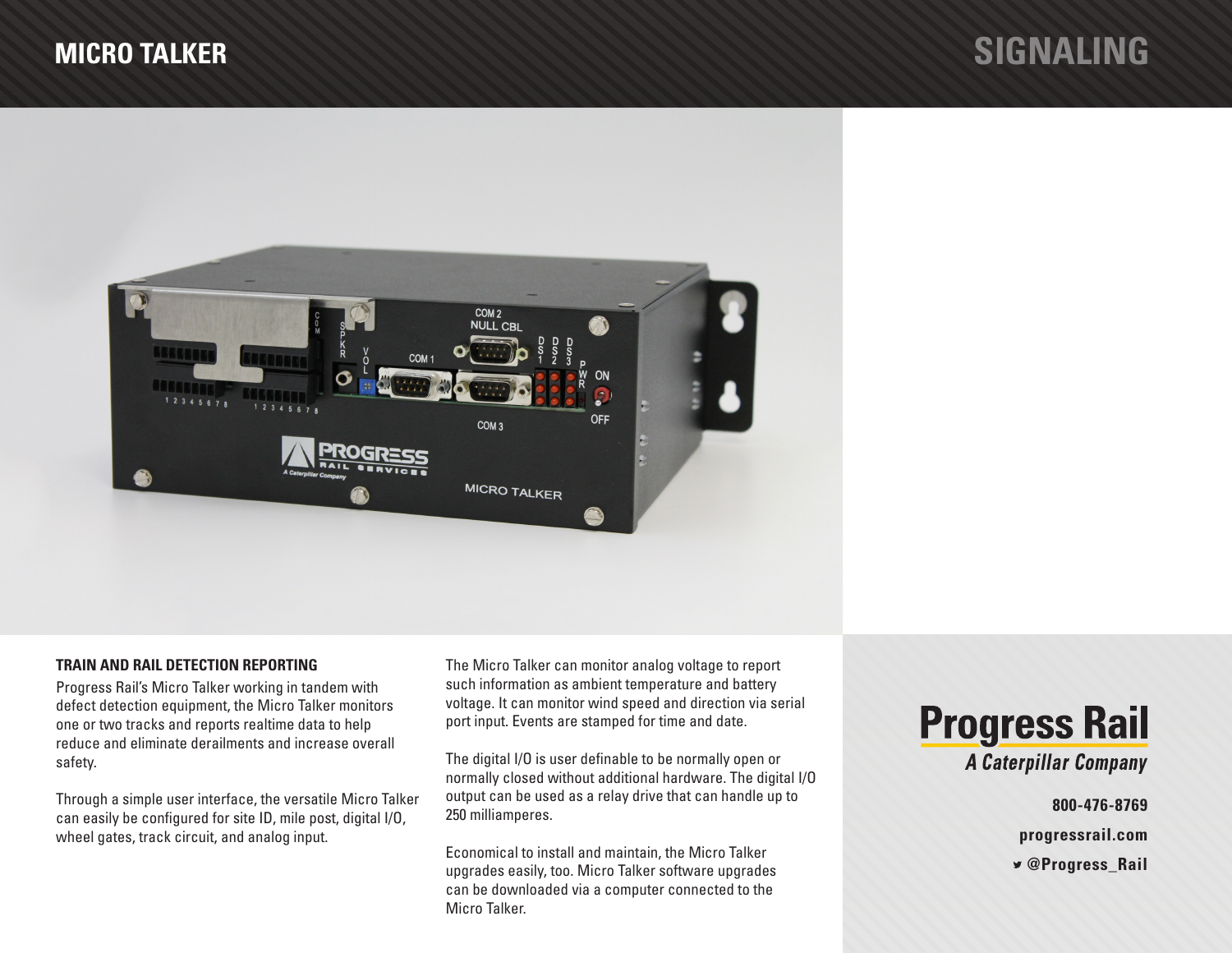

# **TRAIN AND RAIL DETECTION REPORTING**

Progress Rail's Micro Talker working in tandem with defect detection equipment, the Micro Talker monitors one or two tracks and reports realtime data to help reduce and eliminate derailments and increase overall safety.

Through a simple user interface, the versatile Micro Talker can easily be configured for site ID, mile post, digital I/O, wheel gates, track circuit, and analog input.

The Micro Talker can monitor analog voltage to report such information as ambient temperature and battery voltage. It can monitor wind speed and direction via serial port input. Events are stamped for time and date.

The digital I/O is user definable to be normally open or normally closed without additional hardware. The digital I/O output can be used as a relay drive that can handle up to 250 milliamperes.

Economical to install and maintain, the Micro Talker upgrades easily, too. Micro Talker software upgrades can be downloaded via a computer connected to the Micro Talker.



**800-476-8769**

**progressrail.com**

 **@Progress\_Rail**